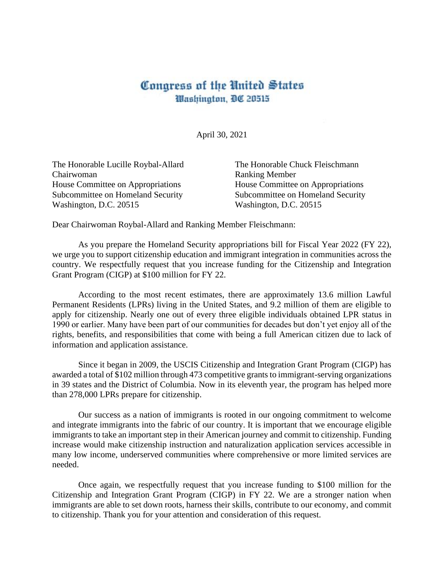## Congress of the United States Washington, DC 20515

April 30, 2021

The Honorable Lucille Roybal-Allard Chairwoman House Committee on Appropriations Subcommittee on Homeland Security Washington, D.C. 20515

The Honorable Chuck Fleischmann Ranking Member House Committee on Appropriations Subcommittee on Homeland Security Washington, D.C. 20515

Dear Chairwoman Roybal-Allard and Ranking Member Fleischmann:

As you prepare the Homeland Security appropriations bill for Fiscal Year 2022 (FY 22), we urge you to support citizenship education and immigrant integration in communities across the country. We respectfully request that you increase funding for the Citizenship and Integration Grant Program (CIGP) at \$100 million for FY 22.

According to the most recent estimates, there are approximately 13.6 million Lawful Permanent Residents (LPRs) living in the United States, and 9.2 million of them are eligible to apply for citizenship. Nearly one out of every three eligible individuals obtained LPR status in 1990 or earlier. Many have been part of our communities for decades but don't yet enjoy all of the rights, benefits, and responsibilities that come with being a full American citizen due to lack of information and application assistance.

Since it began in 2009, the USCIS Citizenship and Integration Grant Program (CIGP) has awarded a total of \$102 million through 473 competitive grants to immigrant-serving organizations in 39 states and the District of Columbia. Now in its eleventh year, the program has helped more than 278,000 LPRs prepare for citizenship.

Our success as a nation of immigrants is rooted in our ongoing commitment to welcome and integrate immigrants into the fabric of our country. It is important that we encourage eligible immigrants to take an important step in their American journey and commit to citizenship. Funding increase would make citizenship instruction and naturalization application services accessible in many low income, underserved communities where comprehensive or more limited services are needed.

Once again, we respectfully request that you increase funding to \$100 million for the Citizenship and Integration Grant Program (CIGP) in FY 22. We are a stronger nation when immigrants are able to set down roots, harness their skills, contribute to our economy, and commit to citizenship. Thank you for your attention and consideration of this request.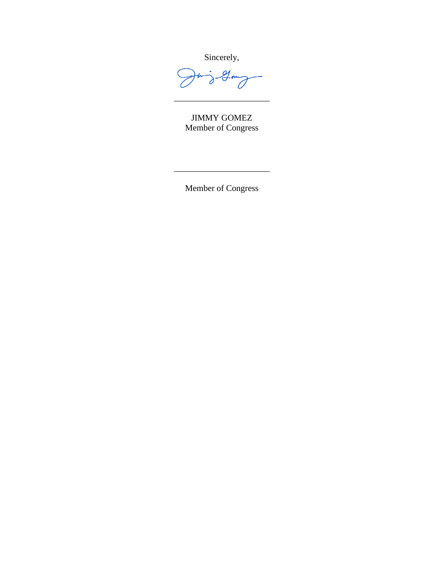Sincerely,

 $\frac{1}{\partial}$  . Long  $\overline{\mathcal{L}}$ 

JIMMY GOMEZ Member of Congress

\_\_\_\_\_\_\_\_\_\_\_\_\_\_\_\_\_\_\_\_\_\_

Member of Congress

\_\_\_\_\_\_\_\_\_\_\_\_\_\_\_\_\_\_\_\_\_\_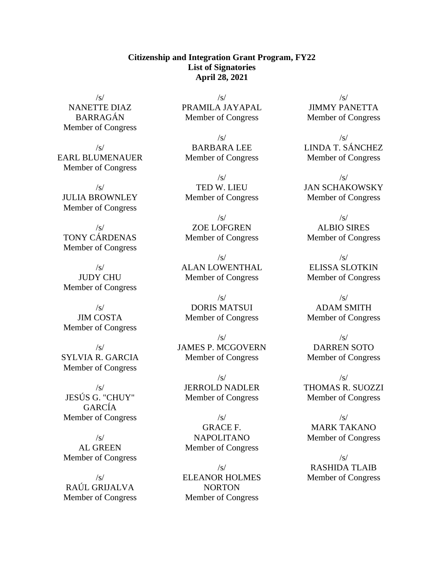## **Citizenship and Integration Grant Program, FY22 List of Signatories April 28, 2021**

 $/s/$ NANETTE DIAZ BARRAGÁN Member of Congress

 $\sqrt{s}$ EARL BLUMENAUER Member of Congress

/s/ JULIA BROWNLEY Member of Congress

 $\sqrt{s}$ TONY CÁRDENAS Member of Congress

 $\sqrt{s}$ JUDY CHU Member of Congress

 $\sqrt{s}$ JIM COSTA Member of Congress

 $\sqrt{s}$ SYLVIA R. GARCIA Member of Congress

/s/ JESÚS G. "CHUY" GARCÍA Member of Congress

 $\sqrt{s}$ AL GREEN Member of Congress

/s/ RAÚL GRIJALVA Member of Congress

 $\sqrt{s}$ PRAMILA JAYAPAL Member of Congress

 $\sqrt{s}$ BARBARA LEE Member of Congress

 $\sqrt{s}$ TED W. LIEU Member of Congress

/s/ ZOE LOFGREN Member of Congress

 $\sqrt{s}$ ALAN LOWENTHAL Member of Congress

 $\sqrt{s/}$ DORIS MATSUI Member of Congress

 $/s/$ JAMES P. MCGOVERN Member of Congress

 $\sqrt{s}$ JERROLD NADLER Member of Congress

 $\sqrt{s}$ GRACE F. NAPOLITANO Member of Congress

 $\sqrt{s/}$ ELEANOR HOLMES NORTON Member of Congress

 $\sqrt{s}$ JIMMY PANETTA Member of Congress

 $\sqrt{s}$ LINDA T. SÁNCHEZ Member of Congress

 $\sqrt{s}$ JAN SCHAKOWSKY Member of Congress

 $\sqrt{s}$ ALBIO SIRES Member of Congress

 $\sqrt{s}$ ELISSA SLOTKIN Member of Congress

 $\sqrt{s}$ ADAM SMITH Member of Congress

 $\sqrt{s}$ DARREN SOTO Member of Congress

 $\sqrt{s}$ THOMAS R. SUOZZI Member of Congress

 $\sqrt{s}$ MARK TAKANO Member of Congress

 $\sqrt{s}$ RASHIDA TLAIB Member of Congress